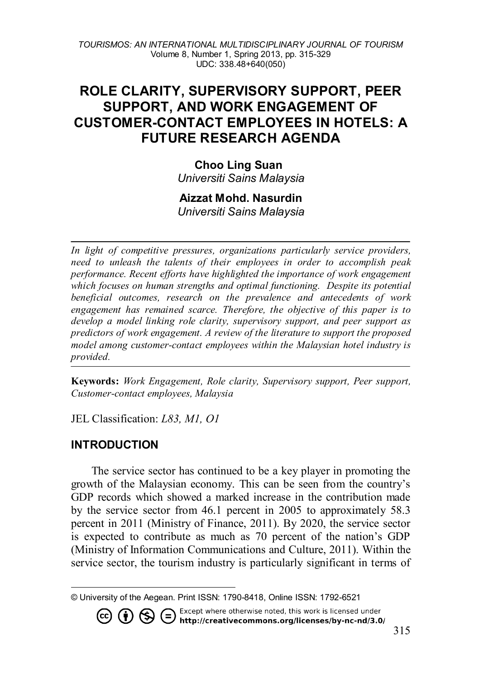# **ROLE CLARITY, SUPERVISORY SUPPORT, PEER SUPPORT, AND WORK ENGAGEMENT OF CUSTOMER-CONTACT EMPLOYEES IN HOTELS: A FUTURE RESEARCH AGENDA**

**Choo Ling Suan** *Universiti Sains Malaysia*

### **Aizzat Mohd. Nasurdin**

*Universiti Sains Malaysia*

*In light of competitive pressures, organizations particularly service providers, need to unleash the talents of their employees in order to accomplish peak performance. Recent efforts have highlighted the importance of work engagement which focuses on human strengths and optimal functioning. Despite its potential beneficial outcomes, research on the prevalence and antecedents of work engagement has remained scarce. Therefore, the objective of this paper is to develop a model linking role clarity, supervisory support, and peer support as predictors of work engagement. A review of the literature to support the proposed model among customer-contact employees within the Malaysian hotel industry is provided.* 

**Keywords:** *Work Engagement, Role clarity, Supervisory support, Peer support, Customer-contact employees, Malaysia*

JEL Classification: *L83, M1, O1*

# **INTRODUCTION**

The service sector has continued to be a key player in promoting the growth of the Malaysian economy. This can be seen from the country's GDP records which showed a marked increase in the contribution made by the service sector from 46.1 percent in 2005 to approximately 58.3 percent in 2011 (Ministry of Finance, 2011). By 2020, the service sector is expected to contribute as much as 70 percent of the nation's GDP (Ministry of Information Communications and Culture, 2011). Within the service sector, the tourism industry is particularly significant in terms of

<span id="page-0-0"></span> $\overline{a}$ © University of the Aegean. Print ISSN: 1790-8418, Online ISSN: 1792-6521

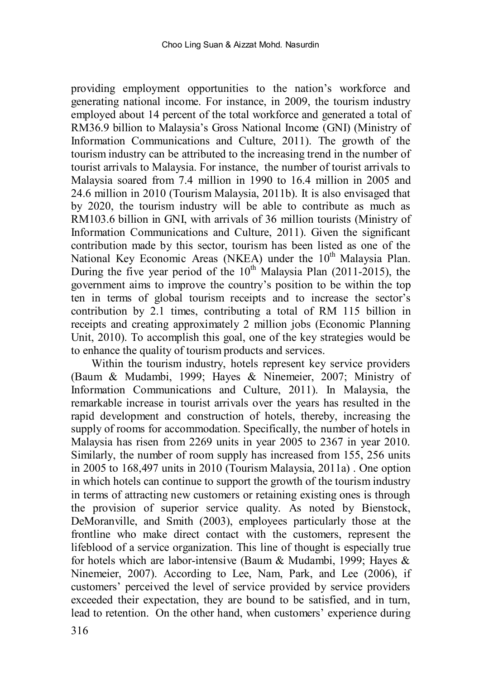providing employment opportunities to the nation's workforce and generating national income. For instance, in 2009, the tourism industry employed about 14 percent of the total workforce and generated a total of RM36.9 billion to Malaysia's Gross National Income (GNI) (Ministry of Information Communications and Culture, 2011). The growth of the tourism industry can be attributed to the increasing trend in the number of tourist arrivals to Malaysia. For instance, the number of tourist arrivals to Malaysia soared from 7.4 million in 1990 to 16.4 million in 2005 and 24.6 million in 2010 (Tourism Malaysia, 2011b). It is also envisaged that by 2020, the tourism industry will be able to contribute as much as RM103.6 billion in GNI, with arrivals of 36 million tourists (Ministry of Information Communications and Culture, 2011). Given the significant contribution made by this sector, tourism has been listed as one of the National Key Economic Areas (NKEA) under the  $10<sup>th</sup>$  Malaysia Plan. During the five year period of the  $10<sup>th</sup>$  Malaysia Plan (2011-2015), the government aims to improve the country's position to be within the top ten in terms of global tourism receipts and to increase the sector's contribution by 2.1 times, contributing a total of RM 115 billion in receipts and creating approximately 2 million jobs (Economic Planning Unit, 2010). To accomplish this goal, one of the key strategies would be to enhance the quality of tourism products and services.

Within the tourism industry, hotels represent key service providers (Baum & Mudambi, 1999; Hayes & Ninemeier, 2007; Ministry of Information Communications and Culture, 2011). In Malaysia, the remarkable increase in tourist arrivals over the years has resulted in the rapid development and construction of hotels, thereby, increasing the supply of rooms for accommodation. Specifically, the number of hotels in Malaysia has risen from 2269 units in year 2005 to 2367 in year 2010. Similarly, the number of room supply has increased from 155, 256 units in 2005 to 168,497 units in 2010 (Tourism Malaysia, 2011a) . One option in which hotels can continue to support the growth of the tourism industry in terms of attracting new customers or retaining existing ones is through the provision of superior service quality. As noted by Bienstock, DeMoranville, and Smith (2003), employees particularly those at the frontline who make direct contact with the customers, represent the lifeblood of a service organization. This line of thought is especially true for hotels which are labor-intensive (Baum & Mudambi, 1999; Hayes & Ninemeier, 2007). According to Lee, Nam, Park, and Lee (2006), if customers' perceived the level of service provided by service providers exceeded their expectation, they are bound to be satisfied, and in turn, lead to retention. On the other hand, when customers' experience during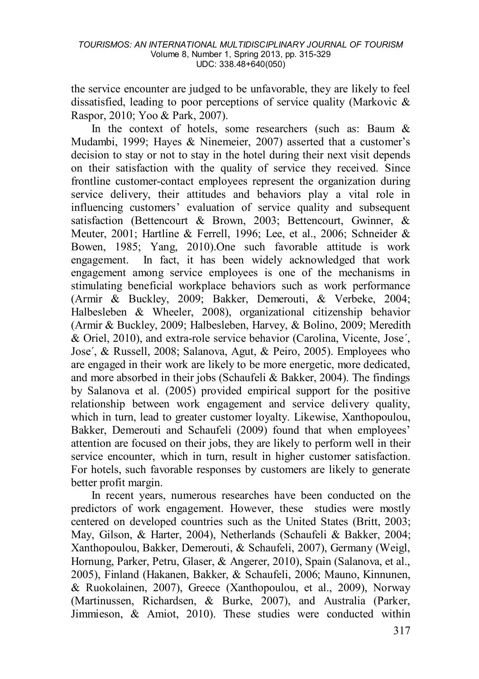the service encounter are judged to be unfavorable, they are likely to feel dissatisfied, leading to poor perceptions of service quality (Markovic & Raspor, 2010; Yoo & Park, 2007).

In the context of hotels, some researchers (such as: Baum  $\&$ Mudambi, 1999; Hayes  $\&$  Ninemeier, 2007) asserted that a customer's decision to stay or not to stay in the hotel during their next visit depends on their satisfaction with the quality of service they received. Since frontline customer-contact employees represent the organization during service delivery, their attitudes and behaviors play a vital role in influencing customers' evaluation of service quality and subsequent satisfaction (Bettencourt & Brown, 2003; Bettencourt, Gwinner, & Meuter, 2001; Hartline & Ferrell, 1996; Lee, et al., 2006; Schneider & Bowen, 1985; Yang, 2010).One such favorable attitude is work engagement. In fact, it has been widely acknowledged that work engagement among service employees is one of the mechanisms in stimulating beneficial workplace behaviors such as work performance (Armir & Buckley, 2009; Bakker, Demerouti, & Verbeke, 2004; Halbesleben & Wheeler, 2008), organizational citizenship behavior (Armir & Buckley, 2009; Halbesleben, Harvey, & Bolino, 2009; Meredith & Oriel, 2010), and extra-role service behavior (Carolina, Vicente, Jose´, Jose´, & Russell, 2008; Salanova, Agut, & Peiro, 2005). Employees who are engaged in their work are likely to be more energetic, more dedicated, and more absorbed in their jobs (Schaufeli & Bakker, 2004). The findings by Salanova et al. (2005) provided empirical support for the positive relationship between work engagement and service delivery quality, which in turn, lead to greater customer loyalty. Likewise, Xanthopoulou, Bakker, Demerouti and Schaufeli (2009) found that when employees' attention are focused on their jobs, they are likely to perform well in their service encounter, which in turn, result in higher customer satisfaction. For hotels, such favorable responses by customers are likely to generate better profit margin.

In recent years, numerous researches have been conducted on the predictors of work engagement. However, these studies were mostly centered on developed countries such as the United States (Britt, 2003; May, Gilson, & Harter, 2004), Netherlands (Schaufeli & Bakker, 2004; Xanthopoulou, Bakker, Demerouti, & Schaufeli, 2007), Germany (Weigl, Hornung, Parker, Petru, Glaser, & Angerer, 2010), Spain (Salanova, et al., 2005), Finland (Hakanen, Bakker, & Schaufeli, 2006; Mauno, Kinnunen, & Ruokolainen, 2007), Greece (Xanthopoulou, et al., 2009), Norway (Martinussen, Richardsen, & Burke, 2007), and Australia (Parker, Jimmieson, & Amiot, 2010). These studies were conducted within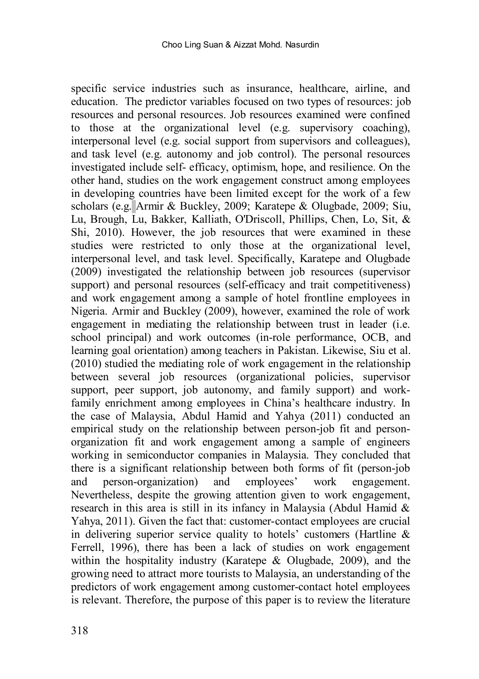specific service industries such as insurance, healthcare, airline, and education. The predictor variables focused on two types of resources: job resources and personal resources. Job resources examined were confined to those at the organizational level (e.g. supervisory coaching), interpersonal level (e.g. social support from supervisors and colleagues), and task level (e.g. autonomy and job control). The personal resources investigated include self- efficacy, optimism, hope, and resilience. On the other hand, studies on the work engagement construct among employees in developing countries have been limited except for the work of a few scholars (e.g. Armir & Buckley, 2009; Karatepe & Olugbade, 2009; Siu, Lu, Brough, Lu, Bakker, Kalliath, O'Driscoll, Phillips, Chen, Lo, Sit, & Shi, 2010). However, the job resources that were examined in these studies were restricted to only those at the organizational level, interpersonal level, and task level. Specifically, Karatepe and Olugbade (2009) investigated the relationship between job resources (supervisor support) and personal resources (self-efficacy and trait competitiveness) and work engagement among a sample of hotel frontline employees in Nigeria. Armir and Buckley (2009), however, examined the role of work engagement in mediating the relationship between trust in leader (i.e. school principal) and work outcomes (in-role performance, OCB, and learning goal orientation) among teachers in Pakistan. Likewise, Siu et al. (2010) studied the mediating role of work engagement in the relationship between several job resources (organizational policies, supervisor support, peer support, job autonomy, and family support) and workfamily enrichment among employees in China's healthcare industry. In the case of Malaysia, Abdul Hamid and Yahya (2011) conducted an empirical study on the relationship between person-job fit and personorganization fit and work engagement among a sample of engineers working in semiconductor companies in Malaysia. They concluded that there is a significant relationship between both forms of fit (person-job and person-organization) and employees' work engagement. Nevertheless, despite the growing attention given to work engagement, research in this area is still in its infancy in Malaysia (Abdul Hamid & Yahya, 2011). Given the fact that: customer-contact employees are crucial in delivering superior service quality to hotels' customers (Hartline & Ferrell, 1996), there has been a lack of studies on work engagement within the hospitality industry (Karatepe & Olugbade, 2009), and the growing need to attract more tourists to Malaysia, an understanding of the predictors of work engagement among customer-contact hotel employees is relevant. Therefore, the purpose of this paper is to review the literature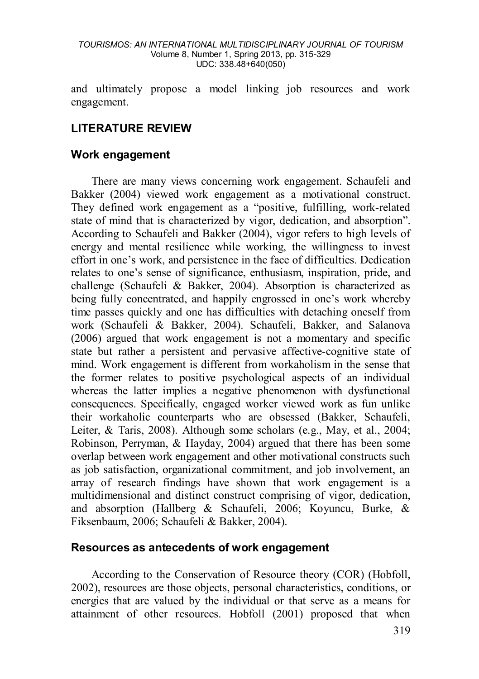and ultimately propose a model linking job resources and work engagement.

# **LITERATURE REVIEW**

#### **Work engagement**

There are many views concerning work engagement. Schaufeli and Bakker (2004) viewed work engagement as a motivational construct. They defined work engagement as a "positive, fulfilling, work-related state of mind that is characterized by vigor, dedication, and absorption". According to Schaufeli and Bakker (2004), vigor refers to high levels of energy and mental resilience while working, the willingness to invest effort in one's work, and persistence in the face of difficulties. Dedication relates to one's sense of significance, enthusiasm, inspiration, pride, and challenge (Schaufeli & Bakker, 2004). Absorption is characterized as being fully concentrated, and happily engrossed in one's work whereby time passes quickly and one has difficulties with detaching oneself from work (Schaufeli & Bakker, 2004). Schaufeli, Bakker, and Salanova (2006) argued that work engagement is not a momentary and specific state but rather a persistent and pervasive affective-cognitive state of mind. Work engagement is different from workaholism in the sense that the former relates to positive psychological aspects of an individual whereas the latter implies a negative phenomenon with dysfunctional consequences. Specifically, engaged worker viewed work as fun unlike their workaholic counterparts who are obsessed (Bakker, Schaufeli, Leiter, & Taris, 2008). Although some scholars (e.g., May, et al., 2004; Robinson, Perryman, & Hayday, 2004) argued that there has been some overlap between work engagement and other motivational constructs such as job satisfaction, organizational commitment, and job involvement, an array of research findings have shown that work engagement is a multidimensional and distinct construct comprising of vigor, dedication, and absorption (Hallberg & Schaufeli, 2006; Koyuncu, Burke, & Fiksenbaum, 2006; Schaufeli & Bakker, 2004).

#### **Resources as antecedents of work engagement**

According to the Conservation of Resource theory (COR) (Hobfoll, 2002), resources are those objects, personal characteristics, conditions, or energies that are valued by the individual or that serve as a means for attainment of other resources. Hobfoll (2001) proposed that when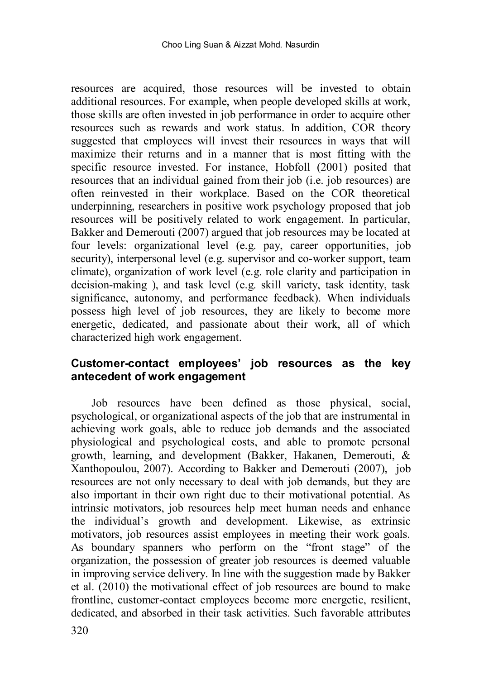resources are acquired, those resources will be invested to obtain additional resources. For example, when people developed skills at work, those skills are often invested in job performance in order to acquire other resources such as rewards and work status. In addition, COR theory suggested that employees will invest their resources in ways that will maximize their returns and in a manner that is most fitting with the specific resource invested. For instance, Hobfoll (2001) posited that resources that an individual gained from their job (i.e. job resources) are often reinvested in their workplace. Based on the COR theoretical underpinning, researchers in positive work psychology proposed that job resources will be positively related to work engagement. In particular, Bakker and Demerouti (2007) argued that job resources may be located at four levels: organizational level (e.g. pay, career opportunities, job security), interpersonal level (e.g. supervisor and co-worker support, team climate), organization of work level (e.g. role clarity and participation in decision-making ), and task level (e.g. skill variety, task identity, task significance, autonomy, and performance feedback). When individuals possess high level of job resources, they are likely to become more energetic, dedicated, and passionate about their work, all of which characterized high work engagement.

# **Customer-contact employees' job resources as the key antecedent of work engagement**

Job resources have been defined as those physical, social, psychological, or organizational aspects of the job that are instrumental in achieving work goals, able to reduce job demands and the associated physiological and psychological costs, and able to promote personal growth, learning, and development (Bakker, Hakanen, Demerouti, & Xanthopoulou, 2007). According to Bakker and Demerouti (2007), job resources are not only necessary to deal with job demands, but they are also important in their own right due to their motivational potential. As intrinsic motivators, job resources help meet human needs and enhance the individual's growth and development. Likewise, as extrinsic motivators, job resources assist employees in meeting their work goals. As boundary spanners who perform on the "front stage" of the organization, the possession of greater job resources is deemed valuable in improving service delivery. In line with the suggestion made by Bakker et al. (2010) the motivational effect of job resources are bound to make frontline, customer-contact employees become more energetic, resilient, dedicated, and absorbed in their task activities. Such favorable attributes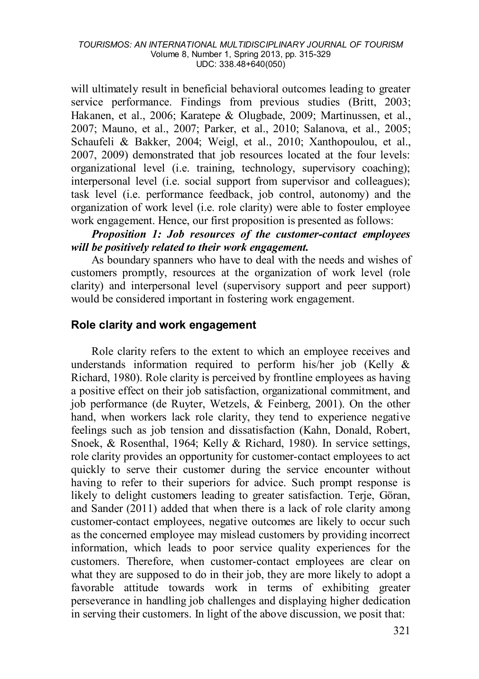will ultimately result in beneficial behavioral outcomes leading to greater service performance. Findings from previous studies (Britt, 2003; Hakanen, et al., 2006; Karatepe & Olugbade, 2009; Martinussen, et al., 2007; Mauno, et al., 2007; Parker, et al., 2010; Salanova, et al., 2005; Schaufeli & Bakker, 2004; Weigl, et al., 2010; Xanthopoulou, et al., 2007, 2009) demonstrated that job resources located at the four levels: organizational level (i.e. training, technology, supervisory coaching); interpersonal level (i.e. social support from supervisor and colleagues); task level (i.e. performance feedback, job control, autonomy) and the organization of work level (i.e. role clarity) were able to foster employee work engagement. Hence, our first proposition is presented as follows:

## *Proposition 1: Job resources of the customer-contact employees will be positively related to their work engagement.*

As boundary spanners who have to deal with the needs and wishes of customers promptly, resources at the organization of work level (role clarity) and interpersonal level (supervisory support and peer support) would be considered important in fostering work engagement.

## **Role clarity and work engagement**

Role clarity refers to the extent to which an employee receives and understands information required to perform his/her job (Kelly & Richard, 1980). Role clarity is perceived by frontline employees as having a positive effect on their job satisfaction, organizational commitment, and job performance (de Ruyter, Wetzels, & Feinberg, 2001). On the other hand, when workers lack role clarity, they tend to experience negative feelings such as job tension and dissatisfaction (Kahn, Donald, Robert, Snoek, & Rosenthal, 1964; Kelly & Richard, 1980). In service settings, role clarity provides an opportunity for customer-contact employees to act quickly to serve their customer during the service encounter without having to refer to their superiors for advice. Such prompt response is likely to delight customers leading to greater satisfaction. Terje, Göran, and Sander (2011) added that when there is a lack of role clarity among customer-contact employees, negative outcomes are likely to occur such as the concerned employee may mislead customers by providing incorrect information, which leads to poor service quality experiences for the customers. Therefore, when customer-contact employees are clear on what they are supposed to do in their job, they are more likely to adopt a favorable attitude towards work in terms of exhibiting greater perseverance in handling job challenges and displaying higher dedication in serving their customers. In light of the above discussion, we posit that: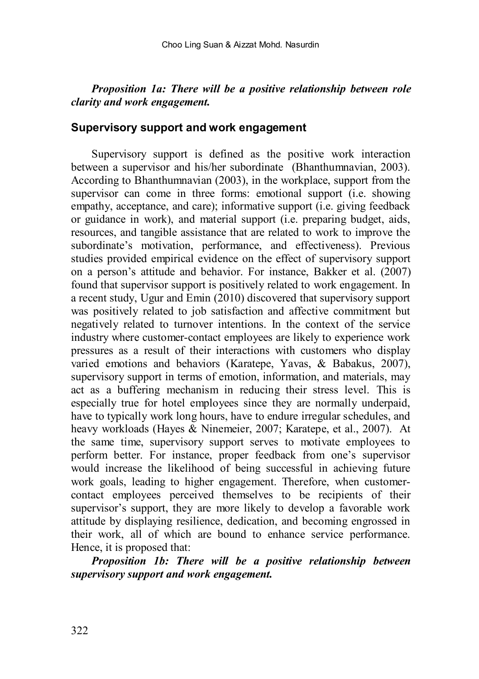### *Proposition 1a: There will be a positive relationship between role clarity and work engagement.*

#### **Supervisory support and work engagement**

Supervisory support is defined as the positive work interaction between a supervisor and his/her subordinate (Bhanthumnavian, 2003). According to Bhanthumnavian (2003), in the workplace, support from the supervisor can come in three forms: emotional support (i.e. showing empathy, acceptance, and care); informative support (i.e. giving feedback or guidance in work), and material support (i.e. preparing budget, aids, resources, and tangible assistance that are related to work to improve the subordinate's motivation, performance, and effectiveness). Previous studies provided empirical evidence on the effect of supervisory support on a person's attitude and behavior. For instance, Bakker et al. (2007) found that supervisor support is positively related to work engagement. In a recent study, Ugur and Emin (2010) discovered that supervisory support was positively related to job satisfaction and affective commitment but negatively related to turnover intentions. In the context of the service industry where customer-contact employees are likely to experience work pressures as a result of their interactions with customers who display varied emotions and behaviors (Karatepe, Yavas, & Babakus, 2007), supervisory support in terms of emotion, information, and materials, may act as a buffering mechanism in reducing their stress level. This is especially true for hotel employees since they are normally underpaid, have to typically work long hours, have to endure irregular schedules, and heavy workloads (Hayes & Ninemeier, 2007; Karatepe, et al., 2007). At the same time, supervisory support serves to motivate employees to perform better. For instance, proper feedback from one's supervisor would increase the likelihood of being successful in achieving future work goals, leading to higher engagement. Therefore, when customercontact employees perceived themselves to be recipients of their supervisor's support, they are more likely to develop a favorable work attitude by displaying resilience, dedication, and becoming engrossed in their work, all of which are bound to enhance service performance. Hence, it is proposed that:

*Proposition 1b: There will be a positive relationship between supervisory support and work engagement.*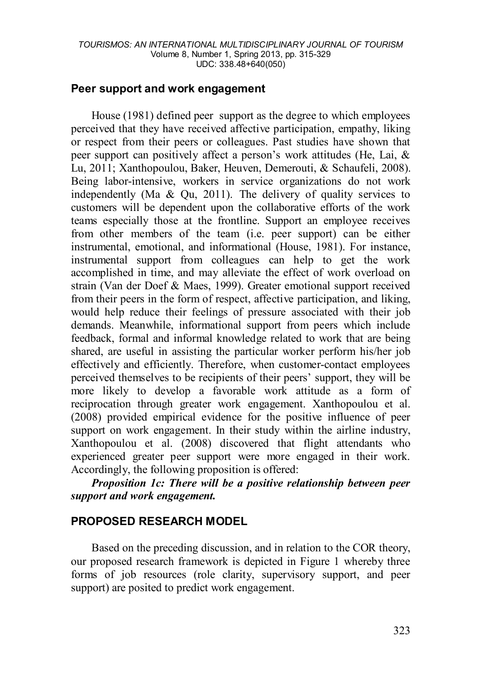### **Peer support and work engagement**

House (1981) defined peer support as the degree to which employees perceived that they have received affective participation, empathy, liking or respect from their peers or colleagues. Past studies have shown that peer support can positively affect a person's work attitudes (He, Lai, & Lu, 2011; Xanthopoulou, Baker, Heuven, Demerouti, & Schaufeli, 2008). Being labor-intensive, workers in service organizations do not work independently (Ma  $\&$  Ou, 2011). The delivery of quality services to customers will be dependent upon the collaborative efforts of the work teams especially those at the frontline. Support an employee receives from other members of the team (i.e. peer support) can be either instrumental, emotional, and informational (House, 1981). For instance, instrumental support from colleagues can help to get the work accomplished in time, and may alleviate the effect of work overload on strain (Van der Doef & Maes, 1999). Greater emotional support received from their peers in the form of respect, affective participation, and liking, would help reduce their feelings of pressure associated with their job demands. Meanwhile, informational support from peers which include feedback, formal and informal knowledge related to work that are being shared, are useful in assisting the particular worker perform his/her job effectively and efficiently. Therefore, when customer-contact employees perceived themselves to be recipients of their peers' support, they will be more likely to develop a favorable work attitude as a form of reciprocation through greater work engagement. Xanthopoulou et al. (2008) provided empirical evidence for the positive influence of peer support on work engagement. In their study within the airline industry, Xanthopoulou et al. (2008) discovered that flight attendants who experienced greater peer support were more engaged in their work. Accordingly, the following proposition is offered:

*Proposition 1c: There will be a positive relationship between peer support and work engagement.*

### **PROPOSED RESEARCH MODEL**

Based on the preceding discussion, and in relation to the COR theory, our proposed research framework is depicted in Figure 1 whereby three forms of job resources (role clarity, supervisory support, and peer support) are posited to predict work engagement.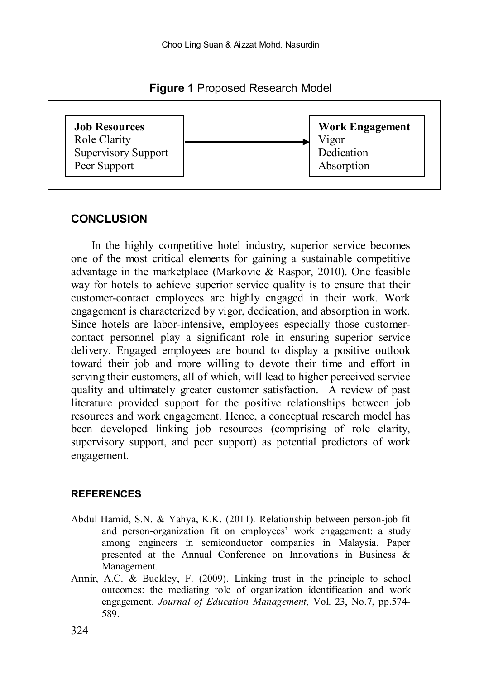**Figure 1** Proposed Research Model



## **CONCLUSION**

In the highly competitive hotel industry, superior service becomes one of the most critical elements for gaining a sustainable competitive advantage in the marketplace (Markovic & Raspor, 2010). One feasible way for hotels to achieve superior service quality is to ensure that their customer-contact employees are highly engaged in their work. Work engagement is characterized by vigor, dedication, and absorption in work. Since hotels are labor-intensive, employees especially those customercontact personnel play a significant role in ensuring superior service delivery. Engaged employees are bound to display a positive outlook toward their job and more willing to devote their time and effort in serving their customers, all of which, will lead to higher perceived service quality and ultimately greater customer satisfaction. A review of past literature provided support for the positive relationships between job resources and work engagement. Hence, a conceptual research model has been developed linking job resources (comprising of role clarity, supervisory support, and peer support) as potential predictors of work engagement.

#### **REFERENCES**

- Abdul Hamid, S.N. & Yahya, K.K. (2011). Relationship between person-job fit and person-organization fit on employees' work engagement: a study among engineers in semiconductor companies in Malaysia. Paper presented at the Annual Conference on Innovations in Business & Management.
- Armir, A.C. & Buckley, F. (2009). Linking trust in the principle to school outcomes: the mediating role of organization identification and work engagement. *Journal of Education Management,* Vol. 23, No.7, pp.574- 589.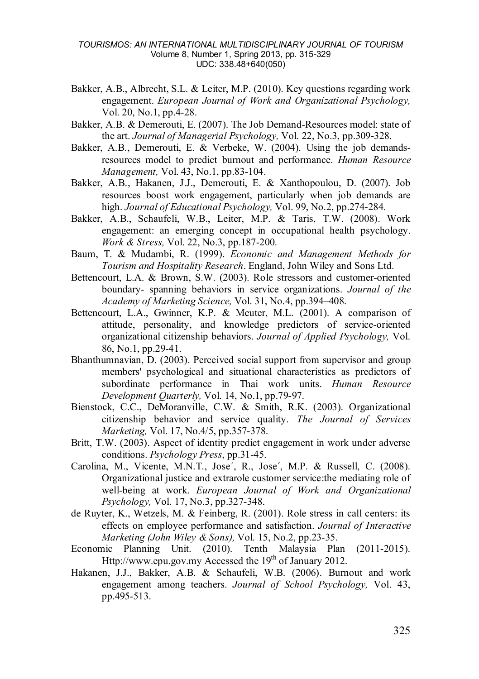- Bakker, A.B., Albrecht, S.L. & Leiter, M.P. (2010). Key questions regarding work engagement. *European Journal of Work and Organizational Psychology,*  Vol. 20, No.1, pp.4-28.
- Bakker, A.B. & Demerouti, E. (2007). The Job Demand-Resources model: state of the art. *Journal of Managerial Psychology,* Vol. 22, No.3, pp.309-328.
- Bakker, A.B., Demerouti, E. & Verbeke, W. (2004). Using the job demandsresources model to predict burnout and performance. *Human Resource Management,* Vol. 43, No.1, pp.83-104.
- Bakker, A.B., Hakanen, J.J., Demerouti, E. & Xanthopoulou, D. (2007). Job resources boost work engagement, particularly when job demands are high. *Journal of Educational Psychology,* Vol. 99, No.2, pp.274-284.
- Bakker, A.B., Schaufeli, W.B., Leiter, M.P. & Taris, T.W. (2008). Work engagement: an emerging concept in occupational health psychology. *Work & Stress,* Vol. 22, No.3, pp.187-200.
- Baum, T. & Mudambi, R. (1999). *Economic and Management Methods for Tourism and Hospitality Research*. England, John Wiley and Sons Ltd.
- Bettencourt, L.A. & Brown, S.W. (2003). Role stressors and customer-oriented boundary- spanning behaviors in service organizations. *Journal of the Academy of Marketing Science,* Vol. 31, No.4, pp.394–408.
- Bettencourt, L.A., Gwinner, K.P. & Meuter, M.L. (2001). A comparison of attitude, personality, and knowledge predictors of service-oriented organizational citizenship behaviors. *Journal of Applied Psychology,* Vol. 86, No.1, pp.29-41.
- Bhanthumnavian, D. (2003). Perceived social support from supervisor and group members' psychological and situational characteristics as predictors of subordinate performance in Thai work units. *Human Resource Development Quarterly,* Vol. 14, No.1, pp.79-97.
- Bienstock, C.C., DeMoranville, C.W. & Smith, R.K. (2003). Organizational citizenship behavior and service quality. *The Journal of Services Marketing,* Vol. 17, No.4/5, pp.357-378.
- Britt, T.W. (2003). Aspect of identity predict engagement in work under adverse conditions. *Psychology Press*, pp.31-45.
- Carolina, M., Vicente, M.N.T., Jose´, R., Jose´, M.P. & Russell, C. (2008). Organizational justice and extrarole customer service:the mediating role of well-being at work. *European Journal of Work and Organizational Psychology,* Vol. 17, No.3, pp.327-348.
- de Ruyter, K., Wetzels, M. & Feinberg, R. (2001). Role stress in call centers: its effects on employee performance and satisfaction. *Journal of Interactive Marketing (John Wiley & Sons),* Vol. 15, No.2, pp.23-35.
- Economic Planning Unit. (2010). Tenth Malaysia Plan (2011-2015). Http://www.epu.gov.my Accessed the 19<sup>th</sup> of January 2012.
- Hakanen, J.J., Bakker, A.B. & Schaufeli, W.B. (2006). Burnout and work engagement among teachers. *Journal of School Psychology,* Vol. 43, pp.495-513.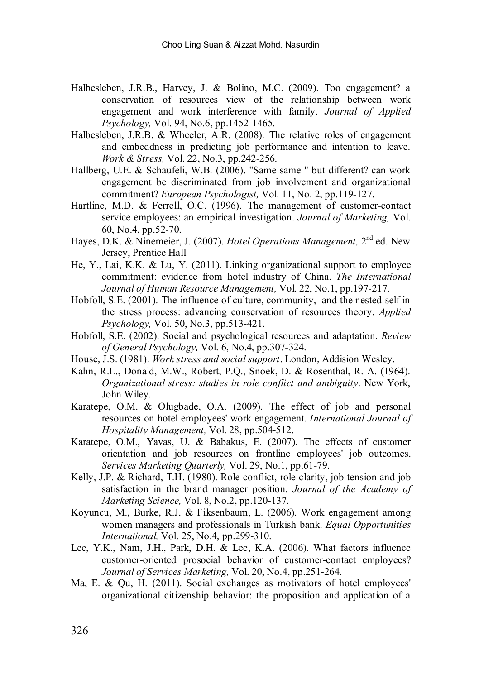- Halbesleben, J.R.B., Harvey, J. & Bolino, M.C. (2009). Too engagement? a conservation of resources view of the relationship between work engagement and work interference with family. *Journal of Applied Psychology,* Vol. 94, No.6, pp.1452-1465.
- Halbesleben, J.R.B. & Wheeler, A.R. (2008). The relative roles of engagement and embeddness in predicting job performance and intention to leave. *Work & Stress,* Vol. 22, No.3, pp.242-256.
- Hallberg, U.E. & Schaufeli, W.B. (2006). "Same same " but different? can work engagement be discriminated from job involvement and organizational commitment? *European Psychologist,* Vol. 11, No. 2, pp.119-127.
- Hartline, M.D. & Ferrell, O.C. (1996). The management of customer-contact service employees: an empirical investigation. *Journal of Marketing,* Vol. 60, No.4, pp.52-70.
- Hayes, D.K. & Ninemeier, J. (2007). *Hotel Operations Management,* 2nd ed. New Jersey, Prentice Hall
- He, Y., Lai, K.K. & Lu, Y. (2011). Linking organizational support to employee commitment: evidence from hotel industry of China. *The International Journal of Human Resource Management,* Vol. 22, No.1, pp.197-217.
- Hobfoll, S.E. (2001). The influence of culture, community, and the nested-self in the stress process: advancing conservation of resources theory. *Applied Psychology,* Vol. 50, No.3, pp.513-421.
- Hobfoll, S.E. (2002). Social and psychological resources and adaptation. *Review of General Psychology,* Vol. 6, No.4, pp.307-324.
- House, J.S. (1981). *Work stress and social support*. London, Addision Wesley.
- Kahn, R.L., Donald, M.W., Robert, P.Q., Snoek, D. & Rosenthal, R. A. (1964). *Organizational stress: studies in role conflict and ambiguity*. New York, John Wiley.
- Karatepe, O.M. & Olugbade, O.A. (2009). The effect of job and personal resources on hotel employees' work engagement. *International Journal of Hospitality Management,* Vol. 28, pp.504-512.
- Karatepe, O.M., Yavas, U. & Babakus, E. (2007). The effects of customer orientation and job resources on frontline employees' job outcomes. *Services Marketing Quarterly,* Vol. 29, No.1, pp.61-79.
- Kelly, J.P. & Richard, T.H. (1980). Role conflict, role clarity, job tension and job satisfaction in the brand manager position. *Journal of the Academy of Marketing Science,* Vol. 8, No.2, pp.120-137.
- Koyuncu, M., Burke, R.J. & Fiksenbaum, L. (2006). Work engagement among women managers and professionals in Turkish bank. *Equal Opportunities International,* Vol. 25, No.4, pp.299-310.
- Lee, Y.K., Nam, J.H., Park, D.H. & Lee, K.A. (2006). What factors influence customer-oriented prosocial behavior of customer-contact employees? *Journal of Services Marketing,* Vol. 20, No.4, pp.251-264.
- Ma, E. & Qu, H. (2011). Social exchanges as motivators of hotel employees' organizational citizenship behavior: the proposition and application of a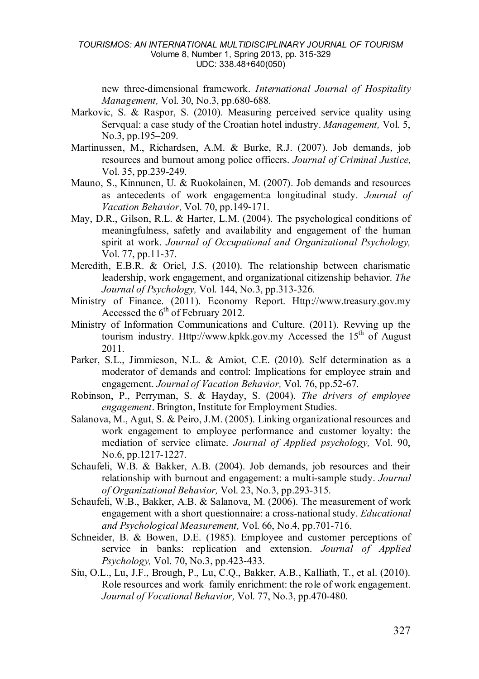new three-dimensional framework. *International Journal of Hospitality Management,* Vol. 30, No.3, pp.680-688.

- Markovic, S. & Raspor, S. (2010). Measuring perceived service quality using Servqual: a case study of the Croatian hotel industry. *Management,* Vol. 5, No.3, pp.195–209.
- Martinussen, M., Richardsen, A.M. & Burke, R.J. (2007). Job demands, job resources and burnout among police officers. *Journal of Criminal Justice,*  Vol. 35, pp.239-249.
- Mauno, S., Kinnunen, U. & Ruokolainen, M. (2007). Job demands and resources as antecedents of work engagement:a longitudinal study. *Journal of Vacation Behavior,* Vol. 70, pp.149-171.
- May, D.R., Gilson, R.L. & Harter, L.M. (2004). The psychological conditions of meaningfulness, safetly and availability and engagement of the human spirit at work. *Journal of Occupational and Organizational Psychology,*  Vol. 77, pp.11-37.
- Meredith, E.B.R. & Oriel, J.S. (2010). The relationship between charismatic leadership, work engagement, and organizational citizenship behavior. *The Journal of Psychology,* Vol. 144, No.3, pp.313-326.
- Ministry of Finance. (2011). Economy Report. Http://www.treasury.gov.my Accessed the  $6<sup>th</sup>$  of February 2012.
- Ministry of Information Communications and Culture. (2011). Revving up the tourism industry. Http://www.kpkk.gov.my Accessed the  $15<sup>th</sup>$  of August 2011.
- Parker, S.L., Jimmieson, N.L. & Amiot, C.E. (2010). Self determination as a moderator of demands and control: Implications for employee strain and engagement. *Journal of Vacation Behavior,* Vol. 76, pp.52-67.
- Robinson, P., Perryman, S. & Hayday, S. (2004). *The drivers of employee engagement*. Brington, Institute for Employment Studies.
- Salanova, M., Agut, S. & Peiro, J.M. (2005). Linking organizational resources and work engagement to employee performance and customer loyalty: the mediation of service climate. *Journal of Applied psychology,* Vol. 90, No.6, pp.1217-1227.
- Schaufeli, W.B. & Bakker, A.B. (2004). Job demands, job resources and their relationship with burnout and engagement: a multi-sample study. *Journal of Organizational Behavior,* Vol. 23, No.3, pp.293-315.
- Schaufeli, W.B., Bakker, A.B. & Salanova, M. (2006). The measurement of work engagement with a short questionnaire: a cross-national study. *Educational and Psychological Measurement,* Vol. 66, No.4, pp.701-716.
- Schneider, B. & Bowen, D.E. (1985). Employee and customer perceptions of service in banks: replication and extension. *Journal of Applied Psychology,* Vol. 70, No.3, pp.423-433.
- Siu, O.L., Lu, J.F., Brough, P., Lu, C.Q., Bakker, A.B., Kalliath, T., et al. (2010). Role resources and work–family enrichment: the role of work engagement. *Journal of Vocational Behavior,* Vol. 77, No.3, pp.470-480.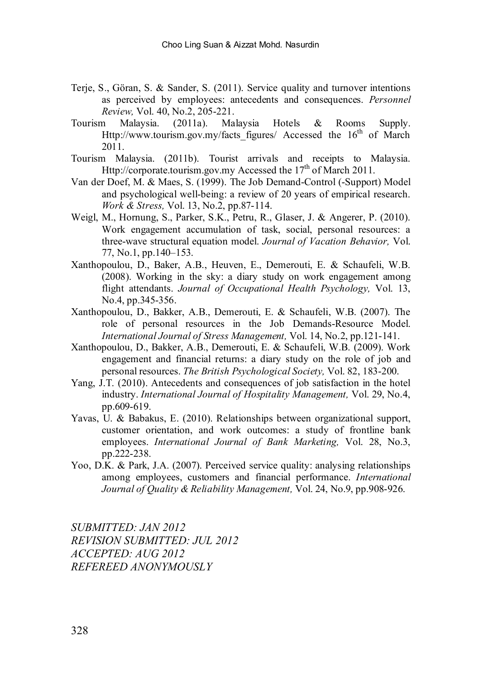- Terje, S., Göran, S. & Sander, S. (2011). Service quality and turnover intentions as perceived by employees: antecedents and consequences. *Personnel Review,* Vol. 40, No.2, 205-221.
- Tourism Malaysia. (2011a). Malaysia Hotels & Rooms Supply. Http://www.tourism.gov.my/facts\_figures/ Accessed the 16<sup>th</sup> of March 2011.
- Tourism Malaysia. (2011b). Tourist arrivals and receipts to Malaysia. Http://corporate.tourism.gov.my Accessed the  $17<sup>th</sup>$  of March 2011.
- Van der Doef, M. & Maes, S. (1999). The Job Demand-Control (-Support) Model and psychological well-being: a review of 20 years of empirical research. *Work & Stress,* Vol. 13, No.2, pp.87-114.
- Weigl, M., Hornung, S., Parker, S.K., Petru, R., Glaser, J. & Angerer, P. (2010). Work engagement accumulation of task, social, personal resources: a three-wave structural equation model. *Journal of Vacation Behavior,* Vol. 77, No.1, pp.140–153.
- Xanthopoulou, D., Baker, A.B., Heuven, E., Demerouti, E. & Schaufeli, W.B.  $(2008)$ . Working in the sky: a diary study on work engagement among flight attendants. *Journal of Occupational Health Psychology,* Vol. 13, No.4, pp.345-356.
- Xanthopoulou, D., Bakker, A.B., Demerouti, E. & Schaufeli, W.B. (2007). The role of personal resources in the Job Demands-Resource Model. *International Journal of Stress Management,* Vol. 14, No.2, pp.121-141.
- Xanthopoulou, D., Bakker, A.B., Demerouti, E. & Schaufeli, W.B. (2009). Work engagement and financial returns: a diary study on the role of job and personal resources. *The British Psychological Society,* Vol. 82, 183-200.
- Yang, J.T. (2010). Antecedents and consequences of job satisfaction in the hotel industry. *International Journal of Hospitality Management,* Vol. 29, No.4, pp.609-619.
- Yavas, U. & Babakus, E. (2010). Relationships between organizational support, customer orientation, and work outcomes: a study of frontline bank employees. *International Journal of Bank Marketing,* Vol. 28, No.3, pp.222-238.
- Yoo, D.K. & Park, J.A. (2007). Perceived service quality: analysing relationships among employees, customers and financial performance. *International Journal of Quality & Reliability Management,* Vol. 24, No.9, pp.908-926.

*SUBMITTED: JAN 2012 REVISION SUBMITTED: JUL 2012 ACCEPTED: AUG 2012 REFEREED ANONYMOUSLY*